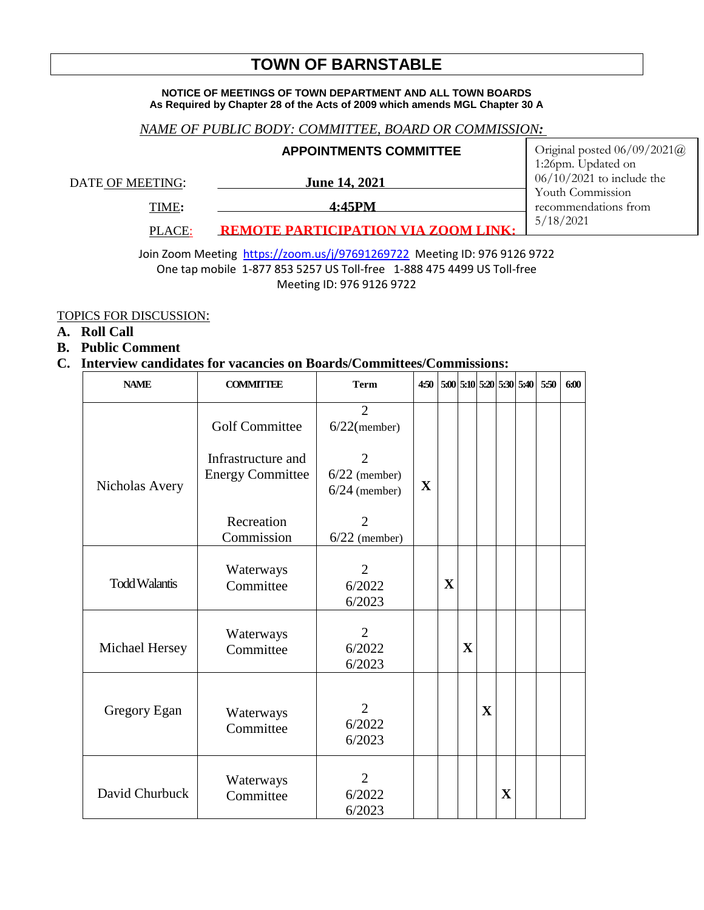# **TOWN OF BARNSTABLE**

#### **NOTICE OF MEETINGS OF TOWN DEPARTMENT AND ALL TOWN BOARDS As Required by Chapter 28 of the Acts of 2009 which amends MGL Chapter 30 A**

### *NAME OF PUBLIC BODY: COMMITTEE, BOARD OR COMMISSION:*

|                  | <b>APPOINTMENTS COMMITTEE</b>       | Original posted $06/09/2021@$<br>1:26pm. Updated on |
|------------------|-------------------------------------|-----------------------------------------------------|
| DATE OF MEETING: | <b>June 14, 2021</b>                | $06/10/2021$ to include the<br>Youth Commission     |
| TIME:            | 4:45PM                              | recommendations from                                |
| PLACE:           | REMOTE PARTICIPATION VIA ZOOM LINK. | 5/18/2021                                           |

Join Zoom Meeting <https://zoom.us/j/97691269722>Meeting ID: 976 9126 9722 One tap mobile 1-877 853 5257 US Toll-free 1-888 475 4499 US Toll-free Meeting ID: 976 9126 9722

#### TOPICS FOR DISCUSSION:

**A. Roll Call**

#### **B. Public Comment**

## **C. Interview candidates for vacancies on Boards/Committees/Commissions:**

| <b>NAME</b>          | <b>COMMITTEE</b>                                                       | <b>Term</b>                                                                               | 4:50        |             |                         |             |             | $5:00$ $5:10$ $5:20$ $5:30$ $5:40$ | 5:50 | 6:00 |
|----------------------|------------------------------------------------------------------------|-------------------------------------------------------------------------------------------|-------------|-------------|-------------------------|-------------|-------------|------------------------------------|------|------|
| Nicholas Avery       | <b>Golf Committee</b><br>Infrastructure and<br><b>Energy Committee</b> | $\overline{2}$<br>$6/22$ (member)<br>$\overline{2}$<br>$6/22$ (member)<br>$6/24$ (member) | $\mathbf X$ |             |                         |             |             |                                    |      |      |
|                      | Recreation<br>Commission                                               | 2<br>$6/22$ (member)                                                                      |             |             |                         |             |             |                                    |      |      |
| <b>Todd Walantis</b> | Waterways<br>Committee                                                 | 2<br>6/2022<br>6/2023                                                                     |             | $\mathbf X$ |                         |             |             |                                    |      |      |
| Michael Hersey       | Waterways<br>Committee                                                 | $\overline{2}$<br>6/2022<br>6/2023                                                        |             |             | $\overline{\mathbf{X}}$ |             |             |                                    |      |      |
| Gregory Egan         | Waterways<br>Committee                                                 | $\overline{2}$<br>6/2022<br>6/2023                                                        |             |             |                         | $\mathbf X$ |             |                                    |      |      |
| David Churbuck       | Waterways<br>Committee                                                 | $\overline{2}$<br>6/2022<br>6/2023                                                        |             |             |                         |             | $\mathbf X$ |                                    |      |      |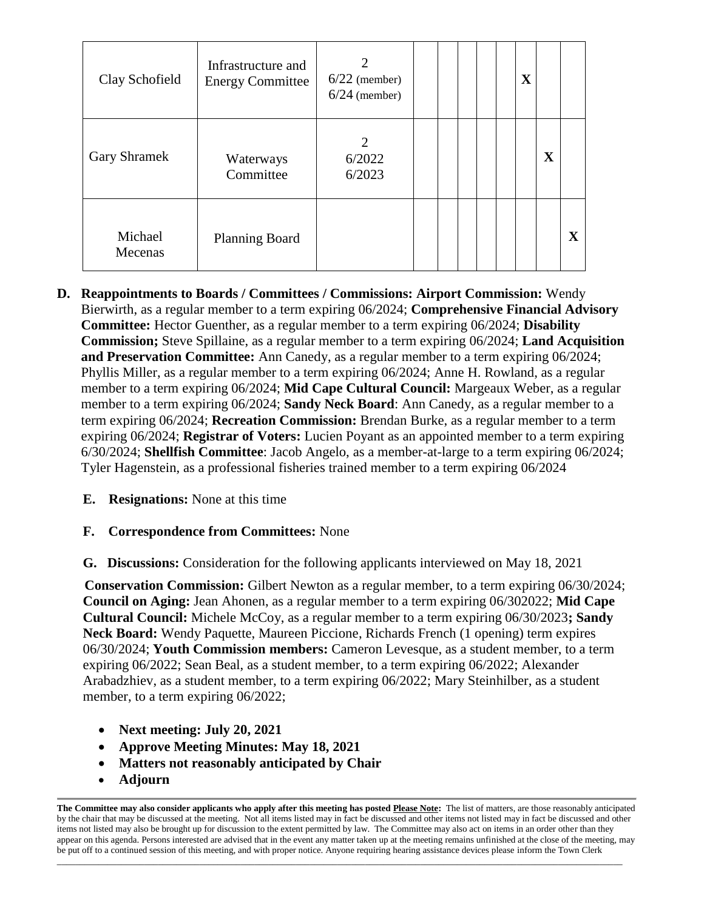| Clay Schofield      | Infrastructure and<br><b>Energy Committee</b> | $6/22$ (member)<br>$6/24$ (member) |  |  | $\mathbf X$ |   |              |
|---------------------|-----------------------------------------------|------------------------------------|--|--|-------------|---|--------------|
| <b>Gary Shramek</b> | Waterways<br>Committee                        | 2<br>6/2022<br>6/2023              |  |  |             | X |              |
| Michael<br>Mecenas  | <b>Planning Board</b>                         |                                    |  |  |             |   | $\mathbf{X}$ |

- **D. Reappointments to Boards / Committees / Commissions: Airport Commission:** Wendy Bierwirth, as a regular member to a term expiring 06/2024; **Comprehensive Financial Advisory Committee:** Hector Guenther, as a regular member to a term expiring 06/2024; **Disability Commission;** Steve Spillaine, as a regular member to a term expiring 06/2024; **Land Acquisition and Preservation Committee:** Ann Canedy, as a regular member to a term expiring 06/2024; Phyllis Miller, as a regular member to a term expiring 06/2024; Anne H. Rowland, as a regular member to a term expiring 06/2024; **Mid Cape Cultural Council:** Margeaux Weber, as a regular member to a term expiring 06/2024; **Sandy Neck Board**: Ann Canedy, as a regular member to a term expiring 06/2024; **Recreation Commission:** Brendan Burke, as a regular member to a term expiring 06/2024; **Registrar of Voters:** Lucien Poyant as an appointed member to a term expiring 6/30/2024; **Shellfish Committee**: Jacob Angelo, as a member-at-large to a term expiring 06/2024; Tyler Hagenstein, as a professional fisheries trained member to a term expiring 06/2024
	- **E. Resignations:** None at this time

# **F. Correspondence from Committees:** None

**G. Discussions:** Consideration for the following applicants interviewed on May 18, 2021

 **Conservation Commission:** Gilbert Newton as a regular member, to a term expiring 06/30/2024; **Council on Aging:** Jean Ahonen, as a regular member to a term expiring 06/302022; **Mid Cape Cultural Council:** Michele McCoy, as a regular member to a term expiring 06/30/2023**; Sandy Neck Board:** Wendy Paquette, Maureen Piccione, Richards French (1 opening) term expires 06/30/2024; **Youth Commission members:** Cameron Levesque, as a student member, to a term expiring 06/2022; Sean Beal, as a student member, to a term expiring 06/2022; Alexander Arabadzhiev, as a student member, to a term expiring 06/2022; Mary Steinhilber, as a student member, to a term expiring  $06/2022$ ;

- **Next meeting: July 20, 2021**
- **Approve Meeting Minutes: May 18, 2021**
- **Matters not reasonably anticipated by Chair**
- **Adjourn**

 $\ldots$  . The contribution of the contribution of the contribution of the contribution of the contribution of the contribution of the contribution of the contribution of the contribution of the contribution of the contribut

**The Committee may also consider applicants who apply after this meeting has posted Please Note:** The list of matters, are those reasonably anticipated by the chair that may be discussed at the meeting. Not all items listed may in fact be discussed and other items not listed may in fact be discussed and other items not listed may also be brought up for discussion to the extent permitted by law. The Committee may also act on items in an order other than they appear on this agenda. Persons interested are advised that in the event any matter taken up at the meeting remains unfinished at the close of the meeting, may be put off to a continued session of this meeting, and with proper notice. Anyone requiring hearing assistance devices please inform the Town Clerk